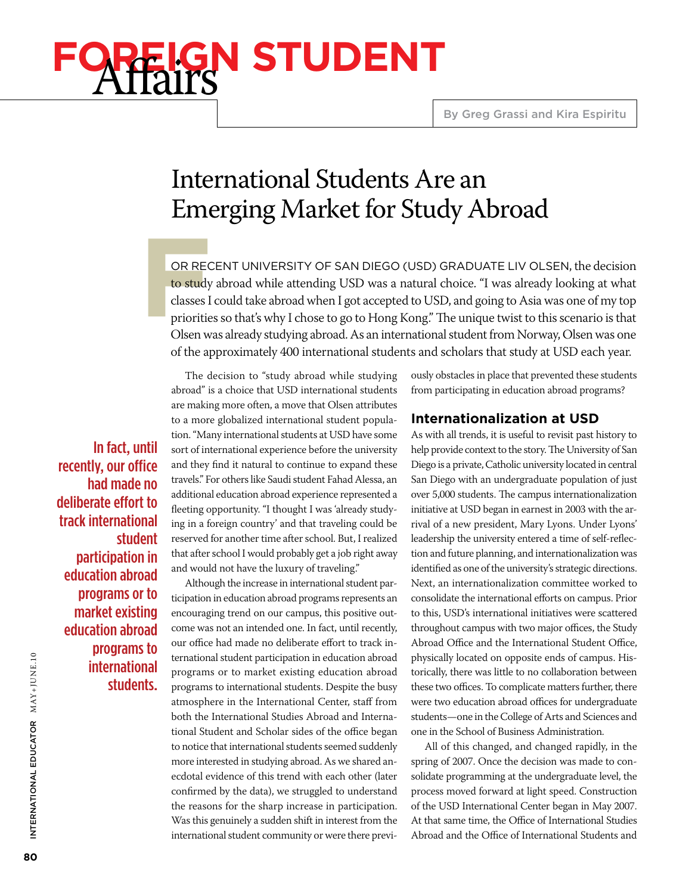# **GN STUDENT**

# International Students Are an Emerging Market for Study Abroad

**FREC**<br> **FREC**<br> **FREC**<br> **FRECE**<br> **FRECE**<br> **FRECE**<br> **FRECE**<br> **FRECE**<br> **FRECE**<br> **FRECE**<br> **FRECE**<br> **FRECE** or recent University of San Diego (USD) graduate Liv Olsen, the decision to study abroad while attending USD was a natural choice. "I was already looking at what classes I could take abroad when I got accepted to USD, and going to Asia was one of my top priorities so that's why I chose to go to Hong Kong." The unique twist to this scenario is that Olsen was already studying abroad. As an international student from Norway, Olsen was one of the approximately 400 international students and scholars that study at USD each year.

In fact, until recently, our office had made no deliberate effort to track international student participation in education abroad programs or to market existing education abroad programs to international students.

The decision to "study abroad while studying abroad" is a choice that USD international students are making more often, a move that Olsen attributes to a more globalized international student population. "Many international students at USD have some sort of international experience before the university and they find it natural to continue to expand these travels." For others like Saudi student Fahad Alessa, an additional education abroad experience represented a fleeting opportunity. "I thought I was 'already studying in a foreign country' and that traveling could be reserved for another time after school. But, I realized that after school I would probably get a job right away and would not have the luxury of traveling."

Although the increase in international student participation in education abroad programs represents an encouraging trend on our campus, this positive outcome was not an intended one. In fact, until recently, our office had made no deliberate effort to track international student participation in education abroad programs or to market existing education abroad programs to international students. Despite the busy atmosphere in the International Center, staff from both the International Studies Abroad and International Student and Scholar sides of the office began to notice that international students seemed suddenly more interested in studying abroad. As we shared anecdotal evidence of this trend with each other (later confirmed by the data), we struggled to understand the reasons for the sharp increase in participation. Was this genuinely a sudden shift in interest from the international student community or were there previously obstacles in place that prevented these students from participating in education abroad programs?

## **Internationalization at USD**

As with all trends, it is useful to revisit past history to help provide context to the story. The University of San Diego is a private, Catholic university located in central San Diego with an undergraduate population of just over 5,000 students. The campus internationalization initiative at USD began in earnest in 2003 with the arrival of a new president, Mary Lyons. Under Lyons' leadership the university entered a time of self-reflection and future planning, and internationalization was identified as one of the university's strategic directions. Next, an internationalization committee worked to consolidate the international efforts on campus. Prior to this, USD's international initiatives were scattered throughout campus with two major offices, the Study Abroad Office and the International Student Office, physically located on opposite ends of campus. Historically, there was little to no collaboration between these two offices. To complicate matters further, there were two education abroad offices for undergraduate students—one in the College of Arts and Sciences and one in the School of Business Administration.

All of this changed, and changed rapidly, in the spring of 2007. Once the decision was made to consolidate programming at the undergraduate level, the process moved forward at light speed. Construction of the USD International Center began in May 2007. At that same time, the Office of International Studies Abroad and the Office of International Students and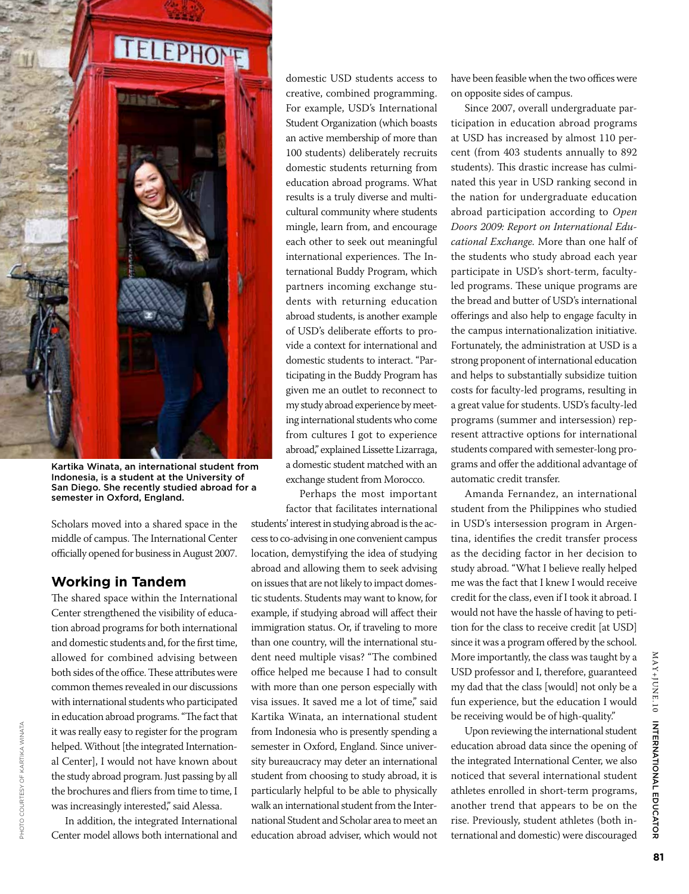

Kartika Winata, an international student from Indonesia, is a student at the University of San Diego. She recently studied abroad for a semester in Oxford, England.

Scholars moved into a shared space in the middle of campus. The International Center officially opened for business in August 2007.

### **Working in Tandem**

The shared space within the International Center strengthened the visibility of education abroad programs for both international and domestic students and, for the first time, allowed for combined advising between both sides of the office. These attributes were common themes revealed in our discussions with international students who participated in education abroad programs. "The fact that it was really easy to register for the program helped. Without [the integrated International Center], I would not have known about the study abroad program. Just passing by all the brochures and fliers from time to time, I was increasingly interested," said Alessa.

In addition, the integrated International Center model allows both international and

domestic USD students access to creative, combined programming. For example, USD's International Student Organization (which boasts an active membership of more than 100 students) deliberately recruits domestic students returning from education abroad programs. What results is a truly diverse and multicultural community where students mingle, learn from, and encourage each other to seek out meaningful international experiences. The International Buddy Program, which partners incoming exchange students with returning education abroad students, is another example of USD's deliberate efforts to provide a context for international and domestic students to interact. "Participating in the Buddy Program has given me an outlet to reconnect to my study abroad experience by meeting international students who come from cultures I got to experience abroad," explained Lissette Lizarraga, a domestic student matched with an exchange student from Morocco.

Perhaps the most important factor that facilitates international

students' interest in studying abroad is the access to co-advising in one convenient campus location, demystifying the idea of studying abroad and allowing them to seek advising on issues that are not likely to impact domestic students. Students may want to know, for example, if studying abroad will affect their immigration status. Or, if traveling to more than one country, will the international student need multiple visas? "The combined office helped me because I had to consult with more than one person especially with visa issues. It saved me a lot of time," said Kartika Winata, an international student from Indonesia who is presently spending a semester in Oxford, England. Since university bureaucracy may deter an international student from choosing to study abroad, it is particularly helpful to be able to physically walk an international student from the International Student and Scholar area to meet an education abroad adviser, which would not have been feasible when the two offices were on opposite sides of campus.

Since 2007, overall undergraduate participation in education abroad programs at USD has increased by almost 110 percent (from 403 students annually to 892 students). This drastic increase has culminated this year in USD ranking second in the nation for undergraduate education abroad participation according to *Open Doors 2009: Report on International Educational Exchange.* More than one half of the students who study abroad each year participate in USD's short-term, facultyled programs. These unique programs are the bread and butter of USD's international offerings and also help to engage faculty in the campus internationalization initiative. Fortunately, the administration at USD is a strong proponent of international education and helps to substantially subsidize tuition costs for faculty-led programs, resulting in a great value for students. USD's faculty-led programs (summer and intersession) represent attractive options for international students compared with semester-long programs and offer the additional advantage of automatic credit transfer.

Amanda Fernandez, an international student from the Philippines who studied in USD's intersession program in Argentina, identifies the credit transfer process as the deciding factor in her decision to study abroad. "What I believe really helped me was the fact that I knew I would receive credit for the class, even if I took it abroad. I would not have the hassle of having to petition for the class to receive credit [at USD] since it was a program offered by the school. More importantly, the class was taught by a USD professor and I, therefore, guaranteed my dad that the class [would] not only be a fun experience, but the education I would be receiving would be of high-quality."

Upon reviewing the international student education abroad data since the opening of the integrated International Center, we also noticed that several international student athletes enrolled in short-term programs, another trend that appears to be on the rise. Previously, student athletes (both international and domestic) were discouraged

INTERNATIONAL EDUCATOR

MAY+JUNE.10